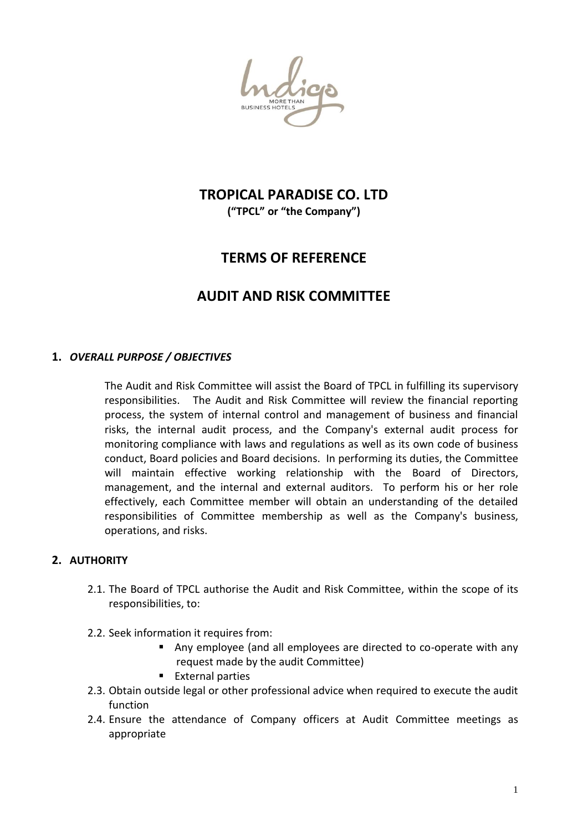## **TROPICAL PARADISE CO. LTD ("TPCL" or "the Company")**

# **TERMS OF REFERENCE**

## **AUDIT AND RISK COMMITTEE**

## **1.** *OVERALL PURPOSE / OBJECTIVES*

The Audit and Risk Committee will assist the Board of TPCL in fulfilling its supervisory responsibilities. The Audit and Risk Committee will review the financial reporting process, the system of internal control and management of business and financial risks, the internal audit process, and the Company's external audit process for monitoring compliance with laws and regulations as well as its own code of business conduct, Board policies and Board decisions. In performing its duties, the Committee will maintain effective working relationship with the Board of Directors, management, and the internal and external auditors. To perform his or her role effectively, each Committee member will obtain an understanding of the detailed responsibilities of Committee membership as well as the Company's business, operations, and risks.

## **2. AUTHORITY**

- 2.1. The Board of TPCL authorise the Audit and Risk Committee, within the scope of its responsibilities, to:
- 2.2. Seek information it requires from:
	- Any employee (and all employees are directed to co-operate with any request made by the audit Committee)
	- **External parties**
- 2.3. Obtain outside legal or other professional advice when required to execute the audit function
- 2.4. Ensure the attendance of Company officers at Audit Committee meetings as appropriate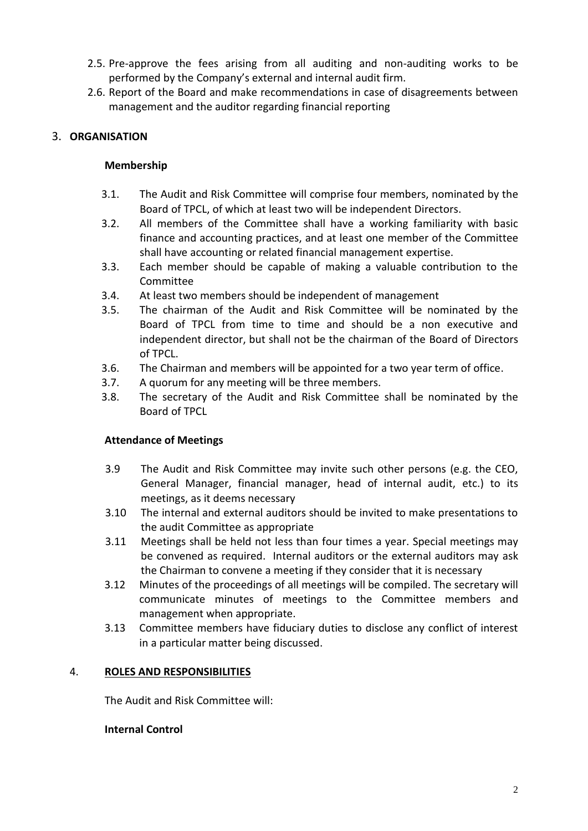- 2.5. Pre-approve the fees arising from all auditing and non-auditing works to be performed by the Company's external and internal audit firm.
- 2.6. Report of the Board and make recommendations in case of disagreements between management and the auditor regarding financial reporting

## 3. **ORGANISATION**

## **Membership**

- 3.1. The Audit and Risk Committee will comprise four members, nominated by the Board of TPCL, of which at least two will be independent Directors.
- 3.2. All members of the Committee shall have a working familiarity with basic finance and accounting practices, and at least one member of the Committee shall have accounting or related financial management expertise.
- 3.3. Each member should be capable of making a valuable contribution to the Committee
- 3.4. At least two members should be independent of management
- 3.5. The chairman of the Audit and Risk Committee will be nominated by the Board of TPCL from time to time and should be a non executive and independent director, but shall not be the chairman of the Board of Directors of TPCL.
- 3.6. The Chairman and members will be appointed for a two year term of office.
- 3.7. A quorum for any meeting will be three members.
- 3.8. The secretary of the Audit and Risk Committee shall be nominated by the Board of TPCL

#### **Attendance of Meetings**

- 3.9 The Audit and Risk Committee may invite such other persons (e.g. the CEO, General Manager, financial manager, head of internal audit, etc.) to its meetings, as it deems necessary
- 3.10 The internal and external auditors should be invited to make presentations to the audit Committee as appropriate
- 3.11 Meetings shall be held not less than four times a year. Special meetings may be convened as required. Internal auditors or the external auditors may ask the Chairman to convene a meeting if they consider that it is necessary
- 3.12 Minutes of the proceedings of all meetings will be compiled. The secretary will communicate minutes of meetings to the Committee members and management when appropriate.
- 3.13 Committee members have fiduciary duties to disclose any conflict of interest in a particular matter being discussed.

#### 4. **ROLES AND RESPONSIBILITIES**

The Audit and Risk Committee will:

#### **Internal Control**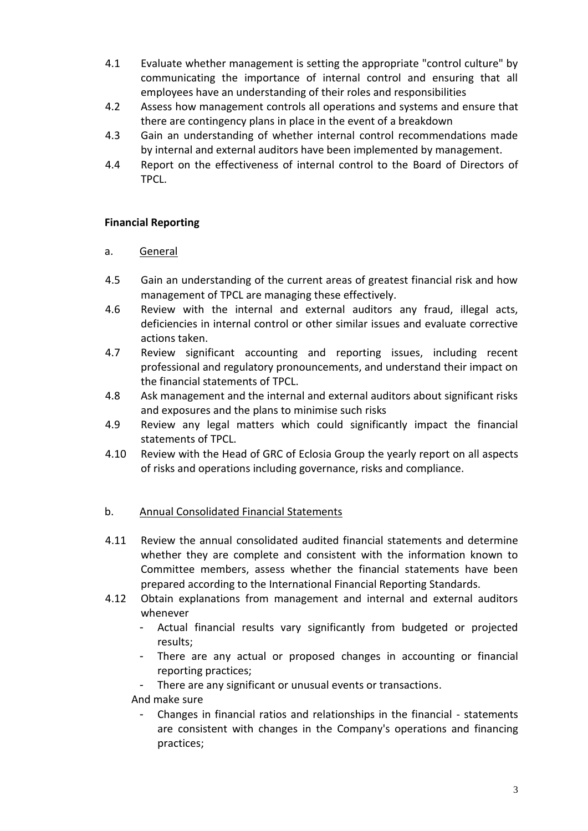- 4.1 Evaluate whether management is setting the appropriate "control culture" by communicating the importance of internal control and ensuring that all employees have an understanding of their roles and responsibilities
- 4.2 Assess how management controls all operations and systems and ensure that there are contingency plans in place in the event of a breakdown
- 4.3 Gain an understanding of whether internal control recommendations made by internal and external auditors have been implemented by management.
- 4.4 Report on the effectiveness of internal control to the Board of Directors of TPCL.

### **Financial Reporting**

### a. General

- 4.5 Gain an understanding of the current areas of greatest financial risk and how management of TPCL are managing these effectively.
- 4.6 Review with the internal and external auditors any fraud, illegal acts, deficiencies in internal control or other similar issues and evaluate corrective actions taken.
- 4.7 Review significant accounting and reporting issues, including recent professional and regulatory pronouncements, and understand their impact on the financial statements of TPCL.
- 4.8 Ask management and the internal and external auditors about significant risks and exposures and the plans to minimise such risks
- 4.9 Review any legal matters which could significantly impact the financial statements of TPCL.
- 4.10 Review with the Head of GRC of Eclosia Group the yearly report on all aspects of risks and operations including governance, risks and compliance.

## b. Annual Consolidated Financial Statements

- 4.11 Review the annual consolidated audited financial statements and determine whether they are complete and consistent with the information known to Committee members, assess whether the financial statements have been prepared according to the International Financial Reporting Standards.
- 4.12 Obtain explanations from management and internal and external auditors whenever
	- Actual financial results vary significantly from budgeted or projected results;
	- There are any actual or proposed changes in accounting or financial reporting practices;
	- There are any significant or unusual events or transactions.

And make sure

- Changes in financial ratios and relationships in the financial - statements are consistent with changes in the Company's operations and financing practices;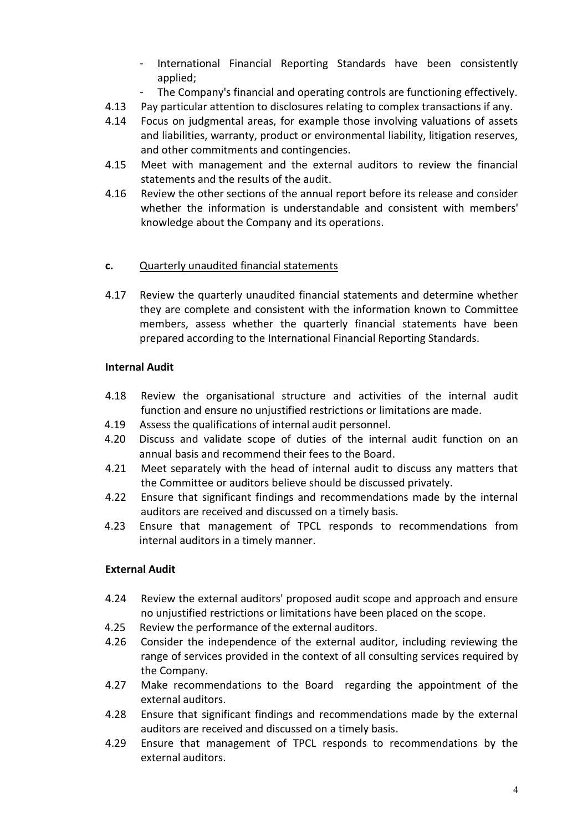- International Financial Reporting Standards have been consistently applied;
- The Company's financial and operating controls are functioning effectively.
- 4.13 Pay particular attention to disclosures relating to complex transactions if any.
- 4.14 Focus on judgmental areas, for example those involving valuations of assets and liabilities, warranty, product or environmental liability, litigation reserves, and other commitments and contingencies.
- 4.15 Meet with management and the external auditors to review the financial statements and the results of the audit.
- 4.16 Review the other sections of the annual report before its release and consider whether the information is understandable and consistent with members' knowledge about the Company and its operations.

## **c.** Quarterly unaudited financial statements

4.17 Review the quarterly unaudited financial statements and determine whether they are complete and consistent with the information known to Committee members, assess whether the quarterly financial statements have been prepared according to the International Financial Reporting Standards.

### **Internal Audit**

- 4.18 Review the organisational structure and activities of the internal audit function and ensure no unjustified restrictions or limitations are made.
- 4.19 Assess the qualifications of internal audit personnel.
- 4.20 Discuss and validate scope of duties of the internal audit function on an annual basis and recommend their fees to the Board.
- 4.21 Meet separately with the head of internal audit to discuss any matters that the Committee or auditors believe should be discussed privately.
- 4.22 Ensure that significant findings and recommendations made by the internal auditors are received and discussed on a timely basis.
- 4.23 Ensure that management of TPCL responds to recommendations from internal auditors in a timely manner.

## **External Audit**

- 4.24 Review the external auditors' proposed audit scope and approach and ensure no unjustified restrictions or limitations have been placed on the scope.
- 4.25 Review the performance of the external auditors.
- 4.26 Consider the independence of the external auditor, including reviewing the range of services provided in the context of all consulting services required by the Company.
- 4.27 Make recommendations to the Board regarding the appointment of the external auditors.
- 4.28 Ensure that significant findings and recommendations made by the external auditors are received and discussed on a timely basis.
- 4.29 Ensure that management of TPCL responds to recommendations by the external auditors.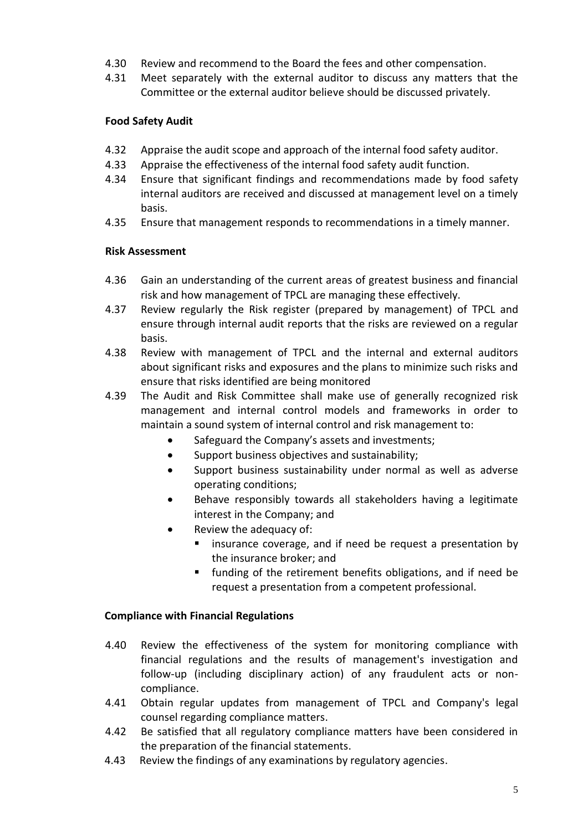- 4.30 Review and recommend to the Board the fees and other compensation.
- 4.31 Meet separately with the external auditor to discuss any matters that the Committee or the external auditor believe should be discussed privately.

## **Food Safety Audit**

- 4.32 Appraise the audit scope and approach of the internal food safety auditor.
- 4.33 Appraise the effectiveness of the internal food safety audit function.
- 4.34 Ensure that significant findings and recommendations made by food safety internal auditors are received and discussed at management level on a timely basis.
- 4.35 Ensure that management responds to recommendations in a timely manner.

### **Risk Assessment**

- 4.36 Gain an understanding of the current areas of greatest business and financial risk and how management of TPCL are managing these effectively.
- 4.37 Review regularly the Risk register (prepared by management) of TPCL and ensure through internal audit reports that the risks are reviewed on a regular basis.
- 4.38 Review with management of TPCL and the internal and external auditors about significant risks and exposures and the plans to minimize such risks and ensure that risks identified are being monitored
- 4.39 The Audit and Risk Committee shall make use of generally recognized risk management and internal control models and frameworks in order to maintain a sound system of internal control and risk management to:
	- Safeguard the Company's assets and investments;
	- Support business objectives and sustainability;
	- Support business sustainability under normal as well as adverse operating conditions;
	- Behave responsibly towards all stakeholders having a legitimate interest in the Company; and
	- Review the adequacy of:
		- **EXT** insurance coverage, and if need be request a presentation by the insurance broker; and
		- **funding of the retirement benefits obligations, and if need be** request a presentation from a competent professional.

#### **Compliance with Financial Regulations**

- 4.40 Review the effectiveness of the system for monitoring compliance with financial regulations and the results of management's investigation and follow-up (including disciplinary action) of any fraudulent acts or noncompliance.
- 4.41 Obtain regular updates from management of TPCL and Company's legal counsel regarding compliance matters.
- 4.42 Be satisfied that all regulatory compliance matters have been considered in the preparation of the financial statements.
- 4.43 Review the findings of any examinations by regulatory agencies.